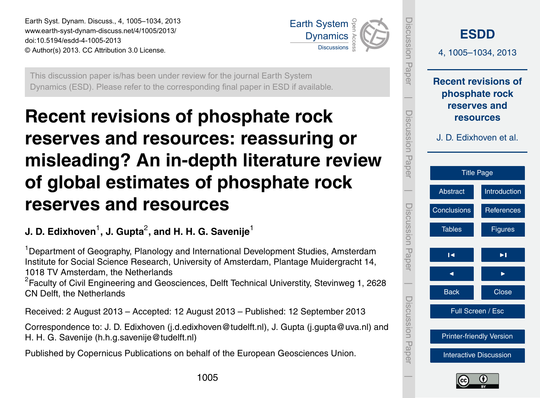<span id="page-0-0"></span>Earth Syst. Dynam. Discuss., 4, 1005–1034, 2013 www.earth-syst-dynam-discuss.net/4/1005/2013/ doi:10.5194/esdd-4-1005-2013 © Author(s) 2013. CC Attribution 3.0 License.



Open Access

This discussion paper is/has been under review for the journal Earth System **Is buun unuun ruv** methods and distribution in the second second second second second second second second second second second s<br>In the three contribution in the second second second second second second second second second second second  $\sum_{i=1}^{\infty}$ Jyounn<br>Difereilekle Methods and Dynamics (ESD). Please refer to the corresponding final paper in ESD if available.

#### Discussions  $\mathbf{L}$ geoscientific reserves and resources: reassuring or r<br>. r<br>I **Recent revisions of phosphate rock** Discussions Hydrology and <u>imales</u> reserves and resources  $\overline{\phantom{a}}$ Hydrology and of global estimates of phosphate rock  $\ddot{\phantom{0}}$ **misleading? An in-depth literature review**

**J. D. Edixhoven<sup>1</sup>, J. Gupta<sup>2</sup>, and H. H. G. Savenije<sup>1</sup>** .<br>Ir

 $\overline{a}$ <sup>1</sup>Department of Geography, Planology and International Development Studies, Amsterdam Institute for Social Science Research, University of Amsterdam, Plantage Muidergracht 14, 1018 TV Amsterdam, the Netherlands

2000 Colid Engineering and Geosciences, Delft Technical Universtity, Stevinweg 1, 2628  $C$ g<br>C CN Delft, the Netherlands

Received: 2 August 2013 – Accepted: 12 August 2013 – Published: 12 September 2013

The Cryosphere H. H. G. Savenije (h.h.g.savenije@tudelft.nl) ix<br>I) ง<br>.<br>. Correspondence to: J. D. Edixhoven (j.d.edixhoven@tudelft.nl), J. Gupta (j.gupta@uva.nl) and

Published by Copernicus Publications on behalf of the European Geosciences Union.



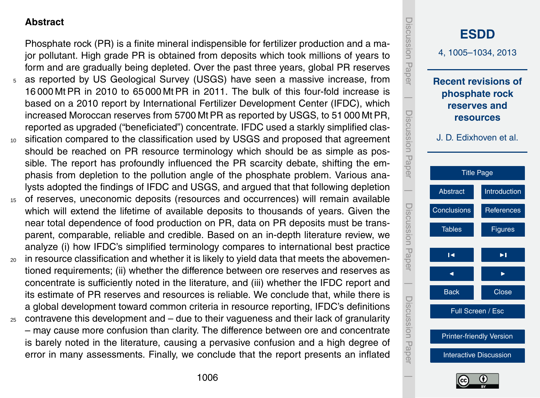# <span id="page-1-0"></span>**Abstract**

Phosphate rock (PR) is a finite mineral indispensible for fertilizer production and a major pollutant. High grade PR is obtained from deposits which took millions of years to form and are gradually being depleted. Over the past three years, global PR reserves

- <sup>5</sup> as reported by US Geological Survey (USGS) have seen a massive increase, from 16 000 Mt PR in 2010 to 65 000 Mt PR in 2011. The bulk of this four-fold increase is based on a 2010 report by International Fertilizer Development Center (IFDC), which increased Moroccan reserves from 5700 Mt PR as reported by USGS, to 51 000 Mt PR, reported as upgraded ("beneficiated") concentrate. IFDC used a starkly simplified clas-
- <sup>10</sup> sification compared to the classification used by USGS and proposed that agreement should be reached on PR resource terminology which should be as simple as possible. The report has profoundly influenced the PR scarcity debate, shifting the emphasis from depletion to the pollution angle of the phosphate problem. Various analysts adopted the findings of IFDC and USGS, and argued that that following depletion
- <sup>15</sup> of reserves, uneconomic deposits (resources and occurrences) will remain available which will extend the lifetime of available deposits to thousands of years. Given the near total dependence of food production on PR, data on PR deposits must be transparent, comparable, reliable and credible. Based on an in-depth literature review, we analyze (i) how IFDC's simplified terminology compares to international best practice
- $20$  in resource classification and whether it is likely to yield data that meets the abovementioned requirements; (ii) whether the difference between ore reserves and reserves as concentrate is sufficiently noted in the literature, and (iii) whether the IFDC report and its estimate of PR reserves and resources is reliable. We conclude that, while there is a global development toward common criteria in resource reporting, IFDC's definitions
- $25$  contravene this development and  $-$  due to their vagueness and their lack of granularity – may cause more confusion than clarity. The difference between ore and concentrate is barely noted in the literature, causing a pervasive confusion and a high degree of error in many assessments. Finally, we conclude that the report presents an inflated



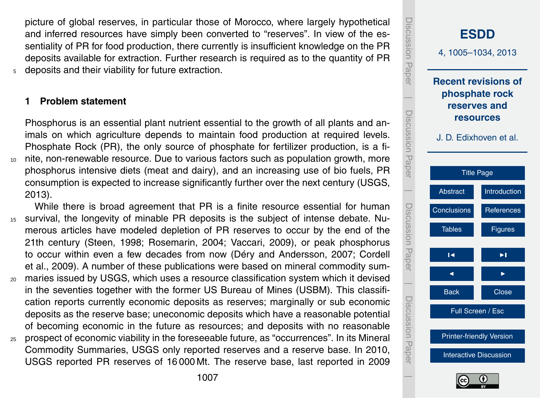<span id="page-2-0"></span>picture of global reserves, in particular those of Morocco, where largely hypothetical and inferred resources have simply been converted to "reserves". In view of the essentiality of PR for food production, there currently is insufficient knowledge on the PR deposits available for extraction. Further research is required as to the quantity of PR deposits and their viability for future extraction.

## **1 Problem statement**

Phosphorus is an essential plant nutrient essential to the growth of all plants and animals on which agriculture depends to maintain food production at required levels. Phosphate Rock (PR), the only source of phosphate for fertilizer production, is a fi-<sup>10</sup> nite, non-renewable resource. Due to various factors such as population growth, more phosphorus intensive diets (meat and dairy), and an increasing use of bio fuels, PR consumption is expected to increase significantly further over the next century (USGS, 2013).

While there is broad agreement that PR is a finite resource essential for human <sup>15</sup> survival, the longevity of minable PR deposits is the subject of intense debate. Numerous articles have modeled depletion of PR reserves to occur by the end of the 21th century (Steen, 1998; Rosemarin, 2004; Vaccari, 2009), or peak phosphorus to occur within even a few decades from now (Déry and Andersson, 2007; Cordell et al., 2009). A number of these publications were based on mineral commodity sum-<sup>20</sup> maries issued by USGS, which uses a resource classification system which it devised

- in the seventies together with the former US Bureau of Mines (USBM). This classification reports currently economic deposits as reserves; marginally or sub economic deposits as the reserve base; uneconomic deposits which have a reasonable potential of becoming economic in the future as resources; and deposits with no reasonable <sup>25</sup> prospect of economic viability in the foreseeable future, as "occurrences". In its Mineral
- Commodity Summaries, USGS only reported reserves and a reserve base. In 2010, USGS reported PR reserves of 16 000 Mt. The reserve base, last reported in 2009

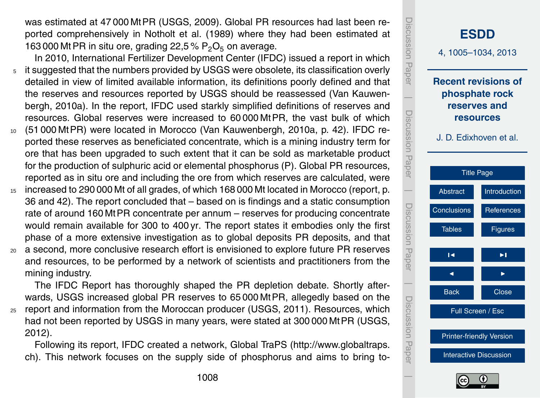was estimated at 47 000 MtPR (USGS, 2009). Global PR resources had last been reported comprehensively in Notholt et al. (1989) where they had been estimated at 163 000 Mt PR in situ ore, grading 22,5 %  $P_2O_5$  on average.

In 2010, International Fertilizer Development Center (IFDC) issued a report in which <sup>5</sup> it suggested that the numbers provided by USGS were obsolete, its classification overly detailed in view of limited available information, its definitions poorly defined and that the reserves and resources reported by USGS should be reassessed (Van Kauwenbergh, 2010a). In the report, IFDC used starkly simplified definitions of reserves and resources. Global reserves were increased to 60 000 MtPR, the vast bulk of which <sup>10</sup> (51 000 MtPR) were located in Morocco (Van Kauwenbergh, 2010a, p. 42). IFDC re-

- ported these reserves as beneficiated concentrate, which is a mining industry term for ore that has been upgraded to such extent that it can be sold as marketable product for the production of sulphuric acid or elemental phosphorus (P). Global PR resources, reported as in situ ore and including the ore from which reserves are calculated, were
- <sup>15</sup> increased to 290 000 Mt of all grades, of which 168 000 Mt located in Morocco (report, p. 36 and 42). The report concluded that – based on is findings and a static consumption rate of around 160 MtPR concentrate per annum – reserves for producing concentrate would remain available for 300 to 400 yr. The report states it embodies only the first phase of a more extensive investigation as to global deposits PR deposits, and that
- <sup>20</sup> a second, more conclusive research effort is envisioned to explore future PR reserves and resources, to be performed by a network of scientists and practitioners from the mining industry.

The IFDC Report has thoroughly shaped the PR depletion debate. Shortly afterwards, USGS increased global PR reserves to 65 000 MtPR, allegedly based on the <sup>25</sup> report and information from the Moroccan producer (USGS, 2011). Resources, which

had not been reported by USGS in many years, were stated at 300 000 MtPR (USGS, 2012).

Following its report, IFDC created a network, Global TraPS [\(http://www.globaltraps.](http://www.globaltraps.ch) [ch\)](http://www.globaltraps.ch). This network focuses on the supply side of phosphorus and aims to bring to-



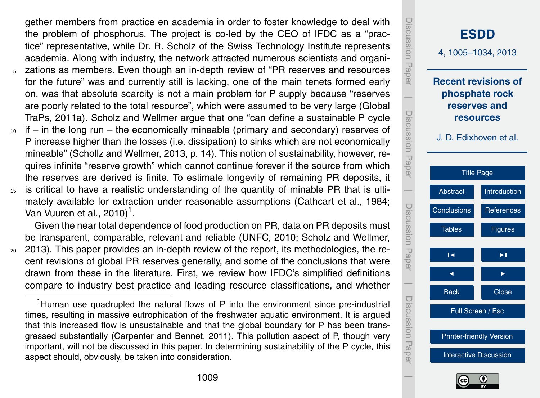gether members from practice en academia in order to foster knowledge to deal with the problem of phosphorus. The project is co-led by the CEO of IFDC as a "practice" representative, while Dr. R. Scholz of the Swiss Technology Institute represents academia. Along with industry, the network attracted numerous scientists and organi-

- <sup>5</sup> zations as members. Even though an in-depth review of "PR reserves and resources for the future" was and currently still is lacking, one of the main tenets formed early on, was that absolute scarcity is not a main problem for P supply because "reserves are poorly related to the total resource", which were assumed to be very large (Global TraPs, 2011a). Scholz and Wellmer argue that one "can define a sustainable P cycle
- $10<sub>10</sub>$  if in the long run the economically mineable (primary and secondary) reserves of P increase higher than the losses (i.e. dissipation) to sinks which are not economically mineable" (Schollz and Wellmer, 2013, p. 14). This notion of sustainability, however, requires infinite "reserve growth" which cannot continue forever if the source from which the reserves are derived is finite. To estimate longevity of remaining PR deposits, it <sup>15</sup> is critical to have a realistic understanding of the quantity of minable PR that is ulti-
- mately available for extraction under reasonable assumptions (Cathcart et al., 1984; Van Vuuren et al., 2010)<sup>1</sup>.

Given the near total dependence of food production on PR, data on PR deposits must be transparent, comparable, relevant and reliable (UNFC, 2010; Scholz and Wellmer, <sup>20</sup> 2013). This paper provides an in-depth review of the report, its methodologies, the recent revisions of global PR reserves generally, and some of the conclusions that were drawn from these in the literature. First, we review how IFDC's simplified definitions compare to industry best practice and leading resource classifications, and whether

 $<sup>1</sup>$ Human use quadrupled the natural flows of P into the environment since pre-industrial</sup> times, resulting in massive eutrophication of the freshwater aquatic environment. It is argued that this increased flow is unsustainable and that the global boundary for P has been transgressed substantially (Carpenter and Bennet, 2011). This pollution aspect of P, though very important, will not be discussed in this paper. In determining sustainability of the P cycle, this aspect should, obviously, be taken into consideration.

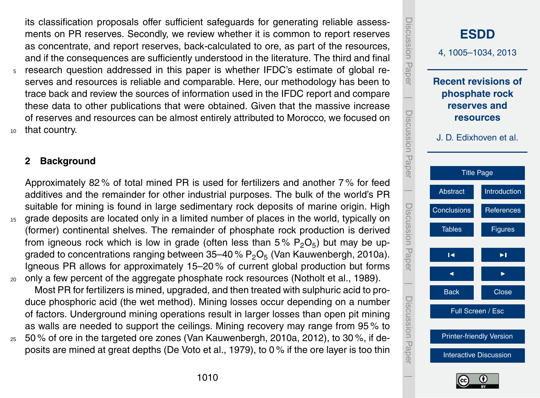its classification proposals offer sufficient safeguards for generating reliable assessments on PR reserves. Secondly, we review whether it is common to report reserves as concentrate, and report reserves, back-calculated to ore, as part of the resources, and if the consequences are sufficiently understood in the literature. The third and final <sup>5</sup> research question addressed in this paper is whether IFDC's estimate of global reserves and resources is reliable and comparable. Here, our methodology has been to trace back and review the sources of information used in the IFDC report and compare these data to other publications that were obtained. Given that the massive increase of reserves and resources can be almost entirely attributed to Morocco, we focused on

<sup>10</sup> that country.

#### **2 Background**

Approximately 82 % of total mined PR is used for fertilizers and another 7 % for feed additives and the remainder for other industrial purposes. The bulk of the world's PR suitable for mining is found in large sedimentary rock deposits of marine origin. High <sup>15</sup> grade deposits are located only in a limited number of places in the world, typically on (former) continental shelves. The remainder of phosphate rock production is derived from igneous rock which is low in grade (often less than 5%  $\mathsf{P}_2\mathsf{O}_5$ ) but may be upgraded to concentrations ranging between 35–40 %  $\mathsf{P}_2\mathsf{O}_5$  (Van Kauwenbergh, 2010a). Igneous PR allows for approximately 15–20 % of current global production but forms <sup>20</sup> only a few percent of the aggregate phosphate rock resources (Notholt et al., 1989).

Most PR for fertilizers is mined, upgraded, and then treated with sulphuric acid to produce phosphoric acid (the wet method). Mining losses occur depending on a number of factors. Underground mining operations result in larger losses than open pit mining as walls are needed to support the ceilings. Mining recovery may range from 95 % to



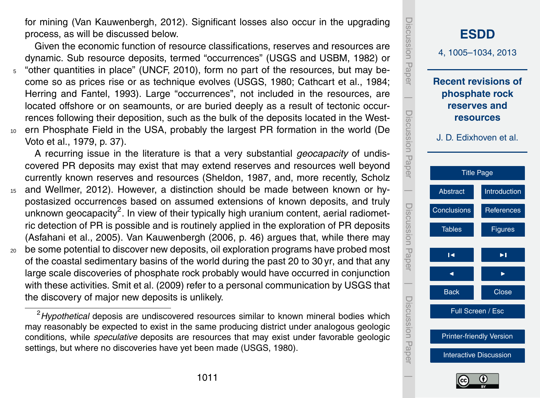for mining (Van Kauwenbergh, 2012). Significant losses also occur in the upgrading process, as will be discussed below.

Given the economic function of resource classifications, reserves and resources are dynamic. Sub resource deposits, termed "occurrences" (USGS and USBM, 1982) or <sup>5</sup> "other quantities in place" (UNCF, 2010), form no part of the resources, but may become so as prices rise or as technique evolves (USGS, 1980; Cathcart et al., 1984; Herring and Fantel, 1993). Large "occurrences", not included in the resources, are located offshore or on seamounts, or are buried deeply as a result of tectonic occurrences following their deposition, such as the bulk of the deposits located in the West-<sup>10</sup> ern Phosphate Field in the USA, probably the largest PR formation in the world (De Voto et al., 1979, p. 37).

A recurring issue in the literature is that a very substantial *geocapacity* of undiscovered PR deposits may exist that may extend reserves and resources well beyond currently known reserves and resources (Sheldon, 1987, and, more recently, Scholz

<sup>15</sup> and Wellmer, 2012). However, a distinction should be made between known or hypostasized occurrences based on assumed extensions of known deposits, and truly unknown geocapacity<sup>2</sup>. In view of their typically high uranium content, aerial radiometric detection of PR is possible and is routinely applied in the exploration of PR deposits (Asfahani et al., 2005). Van Kauwenbergh (2006, p. 46) argues that, while there may <sup>20</sup> be some potential to discover new deposits, oil exploration programs have probed most of the coastal sedimentary basins of the world during the past 20 to 30 yr, and that any large scale discoveries of phosphate rock probably would have occurred in conjunction with these activities. Smit et al. (2009) refer to a personal communication by USGS that the discovery of major new deposits is unlikely.

<sup>2</sup>*Hypothetical* deposis are undiscovered resources similar to known mineral bodies which may reasonably be expected to exist in the same producing district under analogous geologic conditions, while *speculative* deposits are resources that may exist under favorable geologic settings, but where no discoveries have yet been made (USGS, 1980).



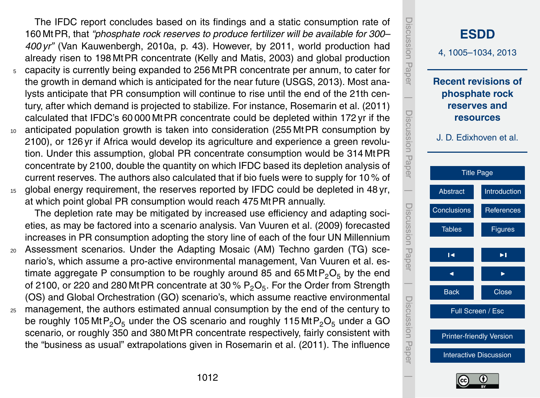The IFDC report concludes based on its findings and a static consumption rate of 160 MtPR, that *"phosphate rock reserves to produce fertilizer will be available for 300– 400 yr"* (Van Kauwenbergh, 2010a, p. 43). However, by 2011, world production had already risen to 198 MtPR concentrate (Kelly and Matis, 2003) and global production <sup>5</sup> capacity is currently being expanded to 256 MtPR concentrate per annum, to cater for the growth in demand which is anticipated for the near future (USGS, 2013). Most analysts anticipate that PR consumption will continue to rise until the end of the 21th century, after which demand is projected to stabilize. For instance, Rosemarin et al. (2011) calculated that IFDC's 60 000 MtPR concentrate could be depleted within 172 yr if the <sup>10</sup> anticipated population growth is taken into consideration (255 MtPR consumption by 2100), or 126 yr if Africa would develop its agriculture and experience a green revolution. Under this assumption, global PR concentrate consumption would be 314 MtPR concentrate by 2100, double the quantity on which IFDC based its depletion analysis of current reserves. The authors also calculated that if bio fuels were to supply for 10 % of

15 global energy requirement, the reserves reported by IFDC could be depleted in 48 yr, at which point global PR consumption would reach 475 MtPR annually.

The depletion rate may be mitigated by increased use efficiency and adapting societies, as may be factored into a scenario analysis. Van Vuuren et al. (2009) forecasted increases in PR consumption adopting the story line of each of the four UN Millennium

- <sup>20</sup> Assessment scenarios. Under the Adapting Mosaic (AM) Techno garden (TG) scenario's, which assume a pro-active environmental management, Van Vuuren et al. estimate aggregate P consumption to be roughly around 85 and 65 Mt  $P_2O_5$  by the end of 2100, or 220 and 280 Mt PR concentrate at 30 %  $\mathsf{P}_2\mathsf{O}_5.$  For the Order from Strength (OS) and Global Orchestration (GO) scenario's, which assume reactive environmental
- <sup>25</sup> management, the authors estimated annual consumption by the end of the century to be roughly 105 Mt  $P_2O_5$  under the OS scenario and roughly 115 Mt  $P_2O_5$  under a GO scenario, or roughly 350 and 380 MtPR concentrate respectively, fairly consistent with the "business as usual" extrapolations given in Rosemarin et al. (2011). The influence



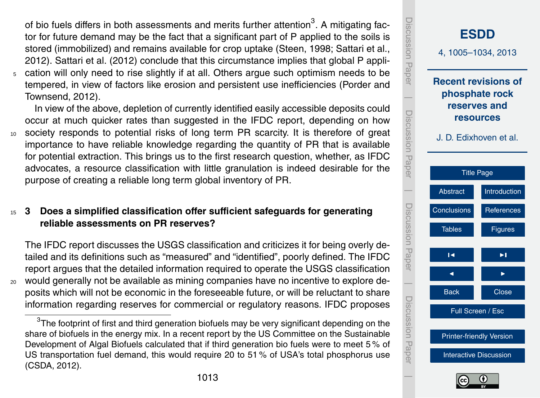of bio fuels differs in both assessments and merits further attention<sup>3</sup>. A mitigating factor for future demand may be the fact that a significant part of P applied to the soils is stored (immobilized) and remains available for crop uptake (Steen, 1998; Sattari et al., 2012). Sattari et al. (2012) conclude that this circumstance implies that global P appli-<sup>5</sup> cation will only need to rise slightly if at all. Others argue such optimism needs to be tempered, in view of factors like erosion and persistent use inefficiencies (Porder and Townsend, 2012).

In view of the above, depletion of currently identified easily accessible deposits could occur at much quicker rates than suggested in the IFDC report, depending on how <sup>10</sup> society responds to potential risks of long term PR scarcity. It is therefore of great importance to have reliable knowledge regarding the quantity of PR that is available for potential extraction. This brings us to the first research question, whether, as IFDC advocates, a resource classification with little granulation is indeed desirable for the purpose of creating a reliable long term global inventory of PR.

## <sup>15</sup> **3 Does a simplified classification offer sufficient safeguards for generating reliable assessments on PR reserves?**

The IFDC report discusses the USGS classification and criticizes it for being overly detailed and its definitions such as "measured" and "identified", poorly defined. The IFDC report argues that the detailed information required to operate the USGS classification <sup>20</sup> would generally not be available as mining companies have no incentive to explore deposits which will not be economic in the foreseeable future, or will be reluctant to share information regarding reserves for commercial or regulatory reasons. IFDC proposes

 ${}^{3}$ The footprint of first and third generation biofuels may be very significant depending on the share of biofuels in the energy mix. In a recent report by the US Committee on the Sustainable Development of Algal Biofuels calculated that if third generation bio fuels were to meet 5 % of US transportation fuel demand, this would require 20 to 51 % of USA's total phosphorus use (CSDA, 2012).



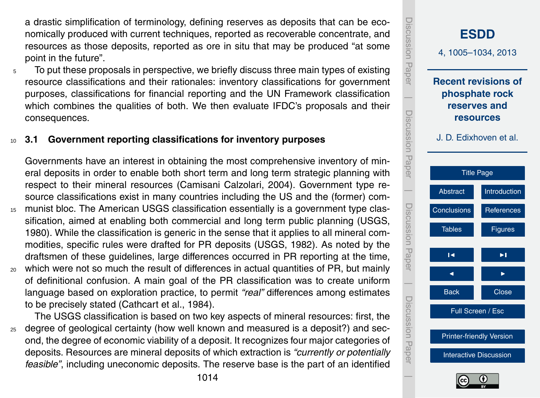a drastic simplification of terminology, defining reserves as deposits that can be economically produced with current techniques, reported as recoverable concentrate, and resources as those deposits, reported as ore in situ that may be produced "at some point in the future".

 $5$  To put these proposals in perspective, we briefly discuss three main types of existing resource classifications and their rationales: inventory classifications for government purposes, classifications for financial reporting and the UN Framework classification which combines the qualities of both. We then evaluate IFDC's proposals and their consequences.

#### <sup>10</sup> **3.1 Government reporting classifications for inventory purposes**

Governments have an interest in obtaining the most comprehensive inventory of mineral deposits in order to enable both short term and long term strategic planning with respect to their mineral resources (Camisani Calzolari, 2004). Government type resource classifications exist in many countries including the US and the (former) com-

- <sup>15</sup> munist bloc. The American USGS classification essentially is a government type classification, aimed at enabling both commercial and long term public planning (USGS, 1980). While the classification is generic in the sense that it applies to all mineral commodities, specific rules were drafted for PR deposits (USGS, 1982). As noted by the draftsmen of these guidelines, large differences occurred in PR reporting at the time,
- <sup>20</sup> which were not so much the result of differences in actual quantities of PR, but mainly of definitional confusion. A main goal of the PR classification was to create uniform language based on exploration practice, to permit *"real"* differences among estimates to be precisely stated (Cathcart et al., 1984).

The USGS classification is based on two key aspects of mineral resources: first, the <sup>25</sup> degree of geological certainty (how well known and measured is a deposit?) and second, the degree of economic viability of a deposit. It recognizes four major categories of deposits. Resources are mineral deposits of which extraction is *"currently or potentially feasible"*, including uneconomic deposits. The reserve base is the part of an identified

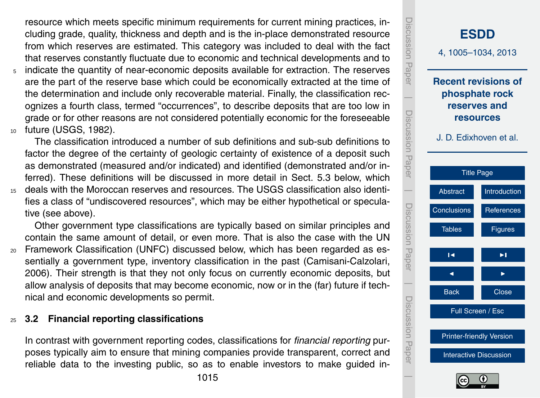resource which meets specific minimum requirements for current mining practices, including grade, quality, thickness and depth and is the in-place demonstrated resource from which reserves are estimated. This category was included to deal with the fact that reserves constantly fluctuate due to economic and technical developments and to

<sup>5</sup> indicate the quantity of near-economic deposits available for extraction. The reserves are the part of the reserve base which could be economically extracted at the time of the determination and include only recoverable material. Finally, the classification recognizes a fourth class, termed "occurrences", to describe deposits that are too low in grade or for other reasons are not considered potentially economic for the foreseeable <sup>10</sup> future (USGS, 1982).

The classification introduced a number of sub definitions and sub-sub definitions to factor the degree of the certainty of geologic certainty of existence of a deposit such as demonstrated (measured and/or indicated) and identified (demonstrated and/or inferred). These definitions will be discussed in more detail in Sect. 5.3 below, which <sup>15</sup> deals with the Moroccan reserves and resources. The USGS classification also identifies a class of "undiscovered resources", which may be either hypothetical or speculative (see above).

Other government type classifications are typically based on similar principles and contain the same amount of detail, or even more. That is also the case with the UN <sup>20</sup> Framework Classification (UNFC) discussed below, which has been regarded as essentially a government type, inventory classification in the past (Camisani-Calzolari, 2006). Their strength is that they not only focus on currently economic deposits, but allow analysis of deposits that may become economic, now or in the (far) future if technical and economic developments so permit.

## <sup>25</sup> **3.2 Financial reporting classifications**

In contrast with government reporting codes, classifications for *financial reporting* purposes typically aim to ensure that mining companies provide transparent, correct and reliable data to the investing public, so as to enable investors to make guided in-

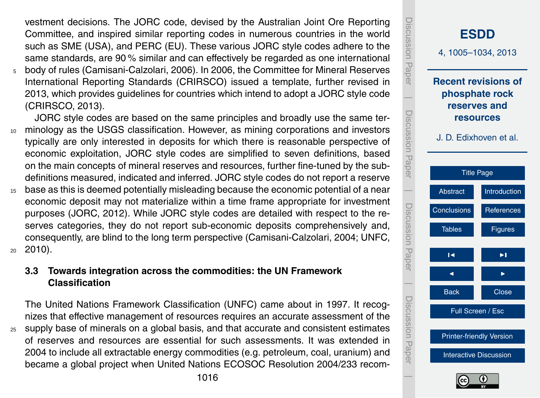vestment decisions. The JORC code, devised by the Australian Joint Ore Reporting Committee, and inspired similar reporting codes in numerous countries in the world such as SME (USA), and PERC (EU). These various JORC style codes adhere to the same standards, are 90 % similar and can effectively be regarded as one international <sup>5</sup> body of rules (Camisani-Calzolari, 2006). In 2006, the Committee for Mineral Reserves

International Reporting Standards (CRIRSCO) issued a template, further revised in 2013, which provides guidelines for countries which intend to adopt a JORC style code (CRIRSCO, 2013).

JORC style codes are based on the same principles and broadly use the same ter-<sup>10</sup> minology as the USGS classification. However, as mining corporations and investors typically are only interested in deposits for which there is reasonable perspective of economic exploitation, JORC style codes are simplified to seven definitions, based on the main concepts of mineral reserves and resources, further fine-tuned by the subdefinitions measured, indicated and inferred. JORC style codes do not report a reserve

<sup>15</sup> base as this is deemed potentially misleading because the economic potential of a near economic deposit may not materialize within a time frame appropriate for investment purposes (JORC, 2012). While JORC style codes are detailed with respect to the reserves categories, they do not report sub-economic deposits comprehensively and, consequently, are blind to the long term perspective (Camisani-Calzolari, 2004; UNFC, <sup>20</sup> 2010).

# **3.3 Towards integration across the commodities: the UN Framework Classification**

The United Nations Framework Classification (UNFC) came about in 1997. It recognizes that effective management of resources requires an accurate assessment of the <sup>25</sup> supply base of minerals on a global basis, and that accurate and consistent estimates of reserves and resources are essential for such assessments. It was extended in 2004 to include all extractable energy commodities (e.g. petroleum, coal, uranium) and became a global project when United Nations ECOSOC Resolution 2004/233 recom-

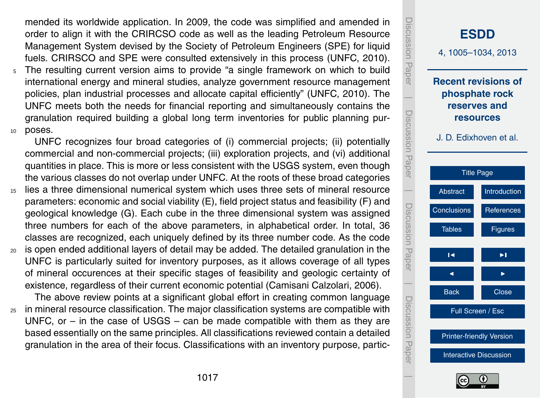mended its worldwide application. In 2009, the code was simplified and amended in order to align it with the CRIRCSO code as well as the leading Petroleum Resource Management System devised by the Society of Petroleum Engineers (SPE) for liquid fuels. CRIRSCO and SPE were consulted extensively in this process (UNFC, 2010).

<sup>5</sup> The resulting current version aims to provide "a single framework on which to build international energy and mineral studies, analyze government resource management policies, plan industrial processes and allocate capital efficiently" (UNFC, 2010). The UNFC meets both the needs for financial reporting and simultaneously contains the granulation required building a global long term inventories for public planning pur-<sup>10</sup> poses.

UNFC recognizes four broad categories of (i) commercial projects; (ii) potentially commercial and non-commercial projects; (iii) exploration projects, and (vi) additional quantities in place. This is more or less consistent with the USGS system, even though the various classes do not overlap under UNFC. At the roots of these broad categories

- <sup>15</sup> lies a three dimensional numerical system which uses three sets of mineral resource parameters: economic and social viability (E), field project status and feasibility (F) and geological knowledge (G). Each cube in the three dimensional system was assigned three numbers for each of the above parameters, in alphabetical order. In total, 36 classes are recognized, each uniquely defined by its three number code. As the code
- <sup>20</sup> is open ended additional layers of detail may be added. The detailed granulation in the UNFC is particularly suited for inventory purposes, as it allows coverage of all types of mineral occurences at their specific stages of feasibility and geologic certainty of existence, regardless of their current economic potential (Camisani Calzolari, 2006).

The above review points at a significant global effort in creating common language <sup>25</sup> in mineral resource classification. The major classification systems are compatible with UNFC, or – in the case of USGS – can be made compatible with them as they are based essentially on the same principles. All classifications reviewed contain a detailed granulation in the area of their focus. Classifications with an inventory purpose, partic-

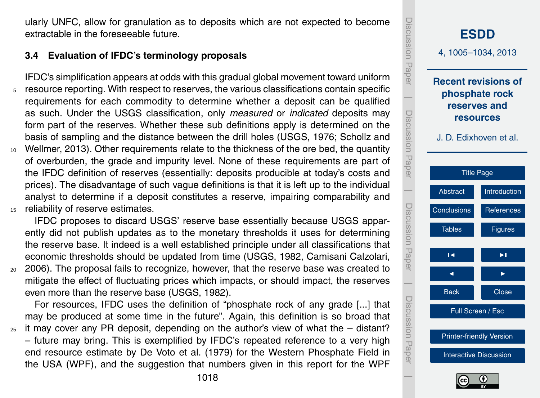as such. Under the USGS classification, only *measured* or *indicated* deposits may

form part of the reserves. Whether these sub definitions apply is determined on the basis of sampling and the distance between the drill holes (USGS, 1976; Schollz and <sup>10</sup> Wellmer, 2013). Other requirements relate to the thickness of the ore bed, the quantity of overburden, the grade and impurity level. None of these requirements are part of the IFDC definition of reserves (essentially: deposits producible at today's costs and

prices). The disadvantage of such vague definitions is that it is left up to the individual analyst to determine if a deposit constitutes a reserve, impairing comparability and 15 reliability of reserve estimates.

IFDC proposes to discard USGS' reserve base essentially because USGS apparently did not publish updates as to the monetary thresholds it uses for determining the reserve base. It indeed is a well established principle under all classifications that economic thresholds should be updated from time (USGS, 1982, Camisani Calzolari,

<sup>20</sup> 2006). The proposal fails to recognize, however, that the reserve base was created to mitigate the effect of fluctuating prices which impacts, or should impact, the reserves even more than the reserve base (USGS, 1982).

For resources, IFDC uses the definition of "phosphate rock of any grade [...] that may be produced at some time in the future". Again, this definition is so broad that  $25$  it may cover any PR deposit, depending on the author's view of what the  $-$  distant? – future may bring. This is exemplified by IFDC's repeated reference to a very high end resource estimate by De Voto et al. (1979) for the Western Phosphate Field in the USA (WPF), and the suggestion that numbers given in this report for the WPF

ularly UNFC, allow for granulation as to deposits which are not expected to become extractable in the foreseeable future. **3.4 Evaluation of IFDC's terminology proposals** IFDC's simplification appears at odds with this gradual global movement toward uniform <sup>5</sup> resource reporting. With respect to reserves, the various classifications contain specific requirements for each commodity to determine whether a deposit can be qualified

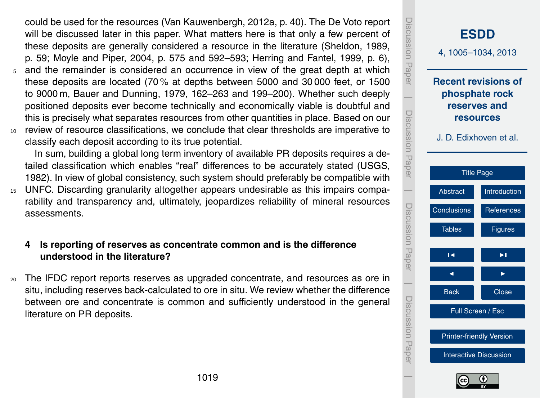could be used for the resources (Van Kauwenbergh, 2012a, p. 40). The De Voto report will be discussed later in this paper. What matters here is that only a few percent of these deposits are generally considered a resource in the literature (Sheldon, 1989, p. 59; Moyle and Piper, 2004, p. 575 and 592–593; Herring and Fantel, 1999, p. 6), <sup>5</sup> and the remainder is considered an occurrence in view of the great depth at which these deposits are located (70 % at depths between 5000 and 30 000 feet, or 1500 to 9000 m, Bauer and Dunning, 1979, 162–263 and 199–200). Whether such deeply

positioned deposits ever become technically and economically viable is doubtful and this is precisely what separates resources from other quantities in place. Based on our <sup>10</sup> review of resource classifications, we conclude that clear thresholds are imperative to classify each deposit according to its true potential.

In sum, building a global long term inventory of available PR deposits requires a detailed classification which enables "real" differences to be accurately stated (USGS, 1982). In view of global consistency, such system should preferably be compatible with

<sup>15</sup> UNFC. Discarding granularity altogether appears undesirable as this impairs comparability and transparency and, ultimately, jeopardizes reliability of mineral resources assessments.

# **4 Is reporting of reserves as concentrate common and is the difference understood in the literature?**

<sup>20</sup> The IFDC report reports reserves as upgraded concentrate, and resources as ore in situ, including reserves back-calculated to ore in situ. We review whether the difference between ore and concentrate is common and sufficiently understood in the general literature on PR deposits.

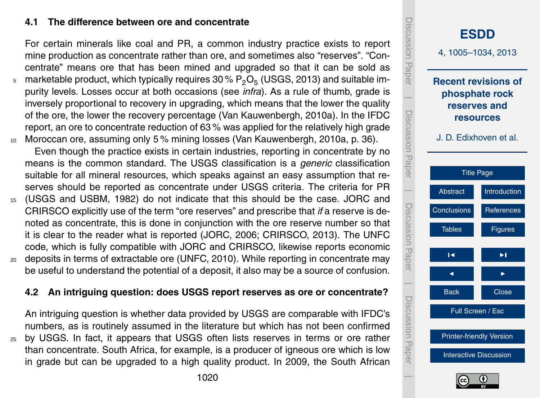## **4.1 The difference between ore and concentrate**

For certain minerals like coal and PR, a common industry practice exists to report mine production as concentrate rather than ore, and sometimes also "reserves". "Concentrate" means ore that has been mined and upgraded so that it can be sold as  $_{\rm 5}$   $\,$  marketable product, which typically requires 30  $\%$  P $_{2}$ O $_{5}$  (USGS, 2013) and suitable impurity levels. Losses occur at both occasions (see *infra*). As a rule of thumb, grade is inversely proportional to recovery in upgrading, which means that the lower the quality of the ore, the lower the recovery percentage (Van Kauwenbergh, 2010a). In the IFDC report, an ore to concentrate reduction of 63 % was applied for the relatively high grade <sup>10</sup> Moroccan ore, assuming only 5 % mining losses (Van Kauwenbergh, 2010a, p. 36).

Even though the practice exists in certain industries, reporting in concentrate by no means is the common standard. The USGS classification is a *generic* classification suitable for all mineral resources, which speaks against an easy assumption that reserves should be reported as concentrate under USGS criteria. The criteria for PR

- <sup>15</sup> (USGS and USBM, 1982) do not indicate that this should be the case. JORC and CRIRSCO explicitly use of the term "ore reserves" and prescribe that *if* a reserve is denoted as concentrate, this is done in conjunction with the ore reserve number so that it is clear to the reader what is reported (JORC, 2006; CRIRSCO, 2013). The UNFC code, which is fully compatible with JORC and CRIRSCO, likewise reports economic <sup>20</sup> deposits in terms of extractable ore (UNFC, 2010). While reporting in concentrate may
- be useful to understand the potential of a deposit, it also may be a source of confusion.

## **4.2 An intriguing question: does USGS report reserves as ore or concentrate?**

An intriguing question is whether data provided by USGS are comparable with IFDC's numbers, as is routinely assumed in the literature but which has not been confirmed <sup>25</sup> by USGS. In fact, it appears that USGS often lists reserves in terms or ore rather than concentrate. South Africa, for example, is a producer of igneous ore which is low in grade but can be upgraded to a high quality product. In 2009, the South African

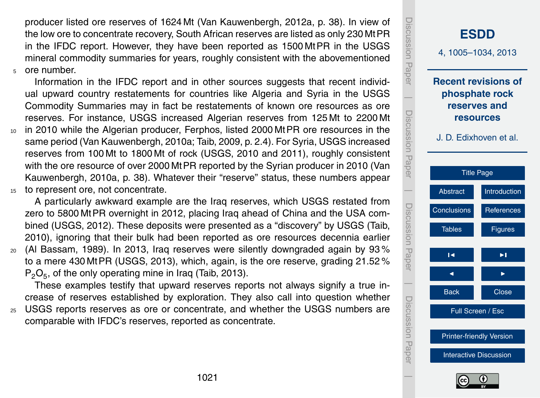producer listed ore reserves of 1624 Mt (Van Kauwenbergh, 2012a, p. 38). In view of the low ore to concentrate recovery, South African reserves are listed as only 230 MtPR in the IFDC report. However, they have been reported as 1500 MtPR in the USGS mineral commodity summaries for years, roughly consistent with the abovementioned <sup>5</sup> ore number.

Information in the IFDC report and in other sources suggests that recent individual upward country restatements for countries like Algeria and Syria in the USGS Commodity Summaries may in fact be restatements of known ore resources as ore reserves. For instance, USGS increased Algerian reserves from 125 Mt to 2200 Mt <sup>10</sup> in 2010 while the Algerian producer, Ferphos, listed 2000 MtPR ore resources in the same period (Van Kauwenbergh, 2010a; Taib, 2009, p. 2.4). For Syria, USGS increased reserves from 100 Mt to 1800 Mt of rock (USGS, 2010 and 2011), roughly consistent with the ore resource of over 2000 MtPR reported by the Syrian producer in 2010 (Van Kauwenbergh, 2010a, p. 38). Whatever their "reserve" status, these numbers appear 15 to represent ore, not concentrate.

A particularly awkward example are the Iraq reserves, which USGS restated from zero to 5800 MtPR overnight in 2012, placing Iraq ahead of China and the USA combined (USGS, 2012). These deposits were presented as a "discovery" by USGS (Taib, 2010), ignoring that their bulk had been reported as ore resources decennia earlier  $20$  (Al Bassam, 1989). In 2013, Iraq reserves were silently downgraded again by 93% to a mere 430 MtPR (USGS, 2013), which, again, is the ore reserve, grading 21.52 %  $P_2O_5$ , of the only operating mine in Iraq (Taib, 2013).

These examples testify that upward reserves reports not always signify a true increase of reserves established by exploration. They also call into question whether <sup>25</sup> USGS reports reserves as ore or concentrate, and whether the USGS numbers are

comparable with IFDC's reserves, reported as concentrate.

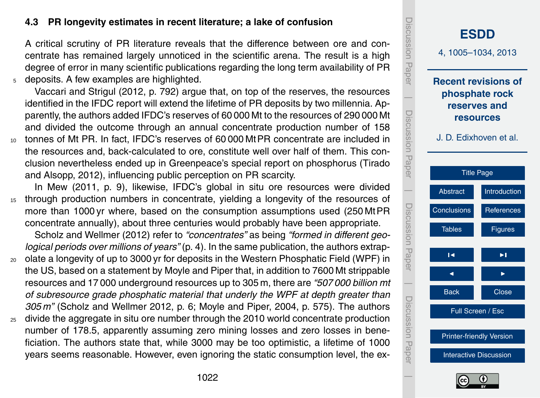## **4.3 PR longevity estimates in recent literature; a lake of confusion**

A critical scrutiny of PR literature reveals that the difference between ore and concentrate has remained largely unnoticed in the scientific arena. The result is a high degree of error in many scientific publications regarding the long term availability of PR <sup>5</sup> deposits. A few examples are highlighted.

Vaccari and Strigul (2012, p. 792) argue that, on top of the reserves, the resources identified in the IFDC report will extend the lifetime of PR deposits by two millennia. Apparently, the authors added IFDC's reserves of 60 000 Mt to the resources of 290 000 Mt and divided the outcome through an annual concentrate production number of 158

<sup>10</sup> tonnes of Mt PR. In fact, IFDC's reserves of 60 000 MtPR concentrate are included in the resources and, back-calculated to ore, constitute well over half of them. This conclusion nevertheless ended up in Greenpeace's special report on phosphorus (Tirado and Alsopp, 2012), influencing public perception on PR scarcity.

In Mew (2011, p. 9), likewise, IFDC's global in situ ore resources were divided

<sup>15</sup> through production numbers in concentrate, yielding a longevity of the resources of more than 1000 yr where, based on the consumption assumptions used (250 MtPR concentrate annually), about three centuries would probably have been appropriate.

Scholz and Wellmer (2012) refer to *"concentrates"* as being *"formed in di*ff*erent geological periods over millions of years*" (p. 4). In the same publication, the authors extrap-

- <sup>20</sup> olate a longevity of up to 3000 yr for deposits in the Western Phosphatic Field (WPF) in the US, based on a statement by Moyle and Piper that, in addition to 7600 Mt strippable resources and 17 000 underground resources up to 305 m, there are *"507 000 billion mt of subresource grade phosphatic material that underly the WPF at depth greater than 305 m"* (Scholz and Wellmer 2012, p. 6; Moyle and Piper, 2004, p. 575). The authors
- <sup>25</sup> divide the aggregate in situ ore number through the 2010 world concentrate production number of 178.5, apparently assuming zero mining losses and zero losses in beneficiation. The authors state that, while 3000 may be too optimistic, a lifetime of 1000 years seems reasonable. However, even ignoring the static consumption level, the ex-



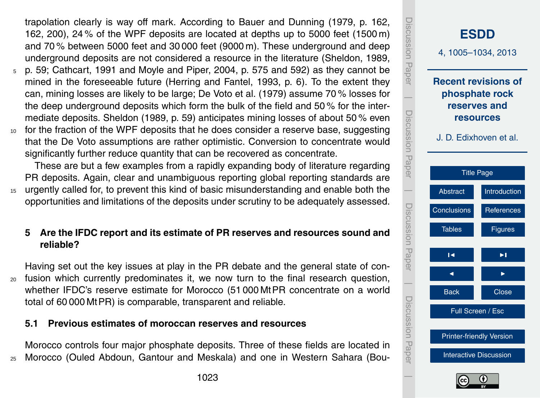trapolation clearly is way off mark. According to Bauer and Dunning (1979, p. 162, 162, 200), 24 % of the WPF deposits are located at depths up to 5000 feet (1500 m) and 70 % between 5000 feet and 30 000 feet (9000 m). These underground and deep underground deposits are not considered a resource in the literature (Sheldon, 1989,

- <sup>5</sup> p. 59; Cathcart, 1991 and Moyle and Piper, 2004, p. 575 and 592) as they cannot be mined in the foreseeable future (Herring and Fantel, 1993, p. 6). To the extent they can, mining losses are likely to be large; De Voto et al. (1979) assume 70 % losses for the deep underground deposits which form the bulk of the field and 50 % for the intermediate deposits. Sheldon (1989, p. 59) anticipates mining losses of about 50 % even
- <sup>10</sup> for the fraction of the WPF deposits that he does consider a reserve base, suggesting that the De Voto assumptions are rather optimistic. Conversion to concentrate would significantly further reduce quantity that can be recovered as concentrate.

These are but a few examples from a rapidly expanding body of literature regarding PR deposits. Again, clear and unambiguous reporting global reporting standards are <sup>15</sup> urgently called for, to prevent this kind of basic misunderstanding and enable both the

opportunities and limitations of the deposits under scrutiny to be adequately assessed.

#### **5 Are the IFDC report and its estimate of PR reserves and resources sound and reliable?**

Having set out the key issues at play in the PR debate and the general state of con-<sup>20</sup> fusion which currently predominates it, we now turn to the final research question, whether IFDC's reserve estimate for Morocco (51 000 MtPR concentrate on a world total of 60 000 MtPR) is comparable, transparent and reliable.

#### **5.1 Previous estimates of moroccan reserves and resources**

Morocco controls four major phosphate deposits. Three of these fields are located in <sup>25</sup> Morocco (Ouled Abdoun, Gantour and Meskala) and one in Western Sahara (Bou-



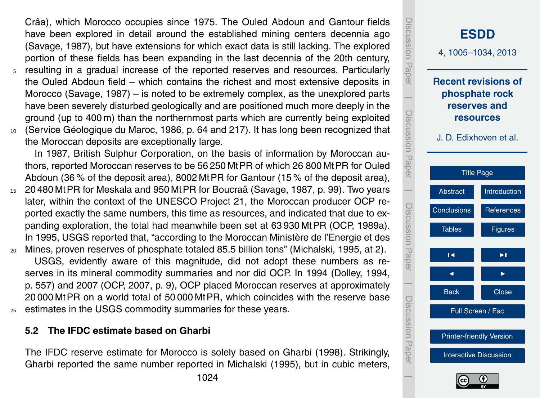Crâa), which Morocco occupies since 1975. The Ouled Abdoun and Gantour fields have been explored in detail around the established mining centers decennia ago (Savage, 1987), but have extensions for which exact data is still lacking. The explored portion of these fields has been expanding in the last decennia of the 20th century, <sup>5</sup> resulting in a gradual increase of the reported reserves and resources. Particularly the Ouled Abdoun field – which contains the richest and most extensive deposits in Morocco (Savage, 1987) – is noted to be extremely complex, as the unexplored parts have been severely disturbed geologically and are positioned much more deeply in the ground (up to 400 m) than the northernmost parts which are currently being exploited

<sup>10</sup> (Service Géologique du Maroc, 1986, p. 64 and 217). It has long been recognized that the Moroccan deposits are exceptionally large.

In 1987, British Sulphur Corporation, on the basis of information by Moroccan authors, reported Moroccan reserves to be 56 250 MtPR of which 26 800 MtPR for Ouled Abdoun (36 % of the deposit area), 8002 MtPR for Gantour (15 % of the deposit area),

- <sup>15</sup> 20 480 MtPR for Meskala and 950 MtPR for Boucraâ (Savage, 1987, p. 99). Two years later, within the context of the UNESCO Project 21, the Moroccan producer OCP reported exactly the same numbers, this time as resources, and indicated that due to expanding exploration, the total had meanwhile been set at 63 930 MtPR (OCP, 1989a). In 1995, USGS reported that, "according to the Moroccan Ministère de l'Energie et des
- <sup>20</sup> Mines, proven reserves of phosphate totaled 85.5 billion tons" (Michalski, 1995, at 2). USGS, evidently aware of this magnitude, did not adopt these numbers as reserves in its mineral commodity summaries and nor did OCP. In 1994 (Dolley, 1994, p. 557) and 2007 (OCP, 2007, p. 9), OCP placed Moroccan reserves at approximately 20 000 MtPR on a world total of 50 000 MtPR, which coincides with the reserve base <sup>25</sup> estimates in the USGS commodity summaries for these years.

# **5.2 The IFDC estimate based on Gharbi**

The IFDC reserve estimate for Morocco is solely based on Gharbi (1998). Strikingly, Gharbi reported the same number reported in Michalski (1995), but in cubic meters,

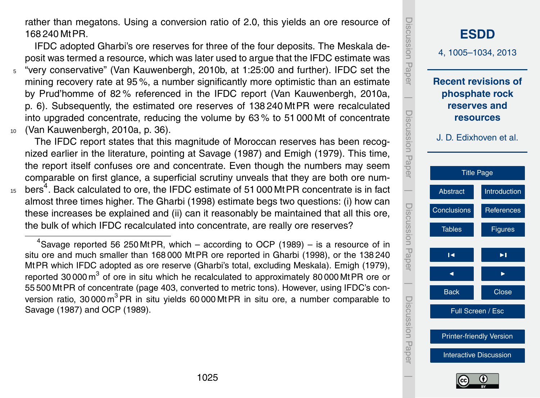rather than megatons. Using a conversion ratio of 2.0, this yields an ore resource of 168 240 MtPR.

IFDC adopted Gharbi's ore reserves for three of the four deposits. The Meskala deposit was termed a resource, which was later used to argue that the IFDC estimate was <sup>5</sup> "very conservative" (Van Kauwenbergh, 2010b, at 1:25:00 and further). IFDC set the mining recovery rate at 95 %, a number significantly more optimistic than an estimate by Prud'homme of 82 % referenced in the IFDC report (Van Kauwenbergh, 2010a, p. 6). Subsequently, the estimated ore reserves of 138 240 MtPR were recalculated into upgraded concentrate, reducing the volume by 63 % to 51 000 Mt of concentrate <sup>10</sup> (Van Kauwenbergh, 2010a, p. 36).

The IFDC report states that this magnitude of Moroccan reserves has been recognized earlier in the literature, pointing at Savage (1987) and Emigh (1979). This time, the report itself confuses ore and concentrate. Even though the numbers may seem comparable on first glance, a superficial scrutiny unveals that they are both ore num- $15$  bers<sup>4</sup>. Back calculated to ore, the IFDC estimate of 51 000 MtPR concentrate is in fact almost three times higher. The Gharbi (1998) estimate begs two questions: (i) how can these increases be explained and (ii) can it reasonably be maintained that all this ore, the bulk of which IFDC recalculated into concentrate, are really ore reserves?

 $4$ Savage reported 56 250 MtPR, which – according to OCP (1989) – is a resource of in situ ore and much smaller than 168 000 MtPR ore reported in Gharbi (1998), or the 138 240 MtPR which IFDC adopted as ore reserve (Gharbi's total, excluding Meskala). Emigh (1979), reported 30 000 m $^3$  of ore in situ which he recalculated to approximately 80 000 MtPR ore or 55 500 MtPR of concentrate (page 403, converted to metric tons). However, using IFDC's conversion ratio,  $30\,000\,\text{m}^3$  PR in situ yields 60 000 Mt PR in situ ore, a number comparable to Savage (1987) and OCP (1989).



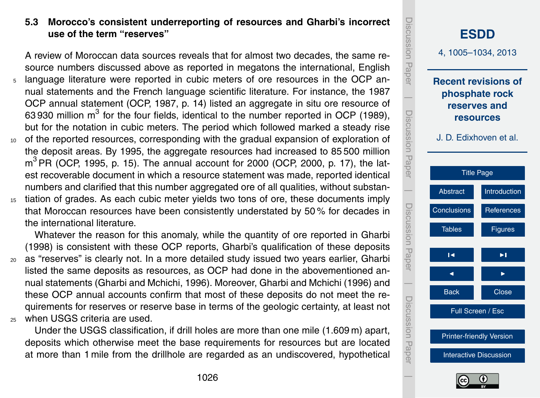# **5.3 Morocco's consistent underreporting of resources and Gharbi's incorrect use of the term "reserves"**

A review of Moroccan data sources reveals that for almost two decades, the same resource numbers discussed above as reported in megatons the international, English

- <sup>5</sup> language literature were reported in cubic meters of ore resources in the OCP annual statements and the French language scientific literature. For instance, the 1987 OCP annual statement (OCP, 1987, p. 14) listed an aggregate in situ ore resource of 63 930 million  $m^3$  for the four fields, identical to the number reported in OCP (1989), but for the notation in cubic meters. The period which followed marked a steady rise
- <sup>10</sup> of the reported resources, corresponding with the gradual expansion of exploration of the deposit areas. By 1995, the aggregate resources had increased to 85 500 million m<sup>3</sup> PR (OCP, 1995, p. 15). The annual account for 2000 (OCP, 2000, p. 17), the latest recoverable document in which a resource statement was made, reported identical numbers and clarified that this number aggregated ore of all qualities, without substan-
- <sup>15</sup> tiation of grades. As each cubic meter yields two tons of ore, these documents imply that Moroccan resources have been consistently understated by 50 % for decades in the international literature.

Whatever the reason for this anomaly, while the quantity of ore reported in Gharbi (1998) is consistent with these OCP reports, Gharbi's qualification of these deposits <sup>20</sup> as "reserves" is clearly not. In a more detailed study issued two years earlier, Gharbi listed the same deposits as resources, as OCP had done in the abovementioned annual statements (Gharbi and Mchichi, 1996). Moreover, Gharbi and Mchichi (1996) and these OCP annual accounts confirm that most of these deposits do not meet the requirements for reserves or reserve base in terms of the geologic certainty, at least not <sup>25</sup> when USGS criteria are used.

Under the USGS classification, if drill holes are more than one mile (1.609 m) apart, deposits which otherwise meet the base requirements for resources but are located at more than 1 mile from the drillhole are regarded as an undiscovered, hypothetical



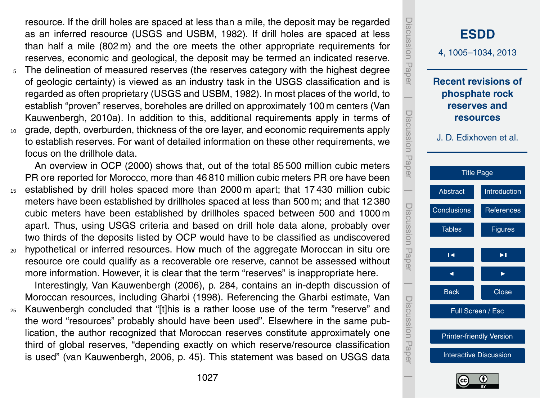resource. If the drill holes are spaced at less than a mile, the deposit may be regarded as an inferred resource (USGS and USBM, 1982). If drill holes are spaced at less than half a mile (802 m) and the ore meets the other appropriate requirements for reserves, economic and geological, the deposit may be termed an indicated reserve.

- <sup>5</sup> The delineation of measured reserves (the reserves category with the highest degree of geologic certainty) is viewed as an industry task in the USGS classification and is regarded as often proprietary (USGS and USBM, 1982). In most places of the world, to establish "proven" reserves, boreholes are drilled on approximately 100 m centers (Van Kauwenbergh, 2010a). In addition to this, additional requirements apply in terms of <sup>10</sup> grade, depth, overburden, thickness of the ore layer, and economic requirements apply
- to establish reserves. For want of detailed information on these other requirements, we focus on the drillhole data.

An overview in OCP (2000) shows that, out of the total 85 500 million cubic meters PR ore reported for Morocco, more than 46 810 million cubic meters PR ore have been

- <sup>15</sup> established by drill holes spaced more than 2000 m apart; that 17 430 million cubic meters have been established by drillholes spaced at less than 500 m; and that 12 380 cubic meters have been established by drillholes spaced between 500 and 1000 m apart. Thus, using USGS criteria and based on drill hole data alone, probably over two thirds of the deposits listed by OCP would have to be classified as undiscovered
- <sup>20</sup> hypothetical or inferred resources. How much of the aggregate Moroccan in situ ore resource ore could qualify as a recoverable ore reserve, cannot be assessed without more information. However, it is clear that the term "reserves" is inappropriate here.

Interestingly, Van Kauwenbergh (2006), p. 284, contains an in-depth discussion of Moroccan resources, including Gharbi (1998). Referencing the Gharbi estimate, Van <sup>25</sup> Kauwenbergh concluded that "[t]his is a rather loose use of the term "reserve" and

the word "resources" probably should have been used". Elsewhere in the same publication, the author recognized that Moroccan reserves constitute approximately one third of global reserves, "depending exactly on which reserve/resource classification is used" (van Kauwenbergh, 2006, p. 45). This statement was based on USGS data

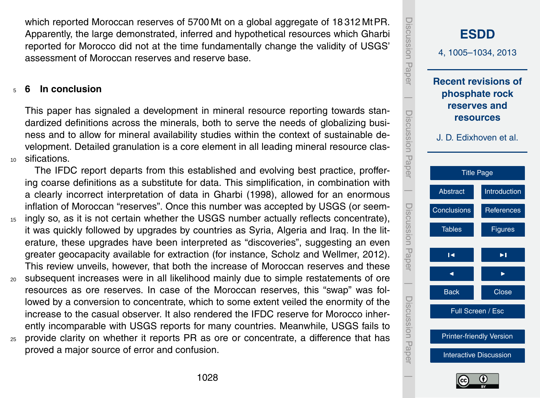<span id="page-23-0"></span>which reported Moroccan reserves of 5700 Mt on a global aggregate of 18 312 MtPR. Apparently, the large demonstrated, inferred and hypothetical resources which Gharbi reported for Morocco did not at the time fundamentally change the validity of USGS' assessment of Moroccan reserves and reserve base.

#### <sup>5</sup> **6 In conclusion**

This paper has signaled a development in mineral resource reporting towards standardized definitions across the minerals, both to serve the needs of globalizing business and to allow for mineral availability studies within the context of sustainable development. Detailed granulation is a core element in all leading mineral resource clas-<sup>10</sup> sifications.

The IFDC report departs from this established and evolving best practice, proffering coarse definitions as a substitute for data. This simplification, in combination with a clearly incorrect interpretation of data in Gharbi (1998), allowed for an enormous inflation of Moroccan "reserves". Once this number was accepted by USGS (or seem-<sup>15</sup> ingly so, as it is not certain whether the USGS number actually reflects concentrate), it was quickly followed by upgrades by countries as Syria, Algeria and Iraq. In the literature, these upgrades have been interpreted as "discoveries", suggesting an even greater geocapacity available for extraction (for instance, Scholz and Wellmer, 2012). This review unveils, however, that both the increase of Moroccan reserves and these

<sup>20</sup> subsequent increases were in all likelihood mainly due to simple restatements of ore resources as ore reserves. In case of the Moroccan reserves, this "swap" was followed by a conversion to concentrate, which to some extent veiled the enormity of the increase to the casual observer. It also rendered the IFDC reserve for Morocco inherently incomparable with USGS reports for many countries. Meanwhile, USGS fails to <sup>25</sup> provide clarity on whether it reports PR as ore or concentrate, a difference that has proved a major source of error and confusion.



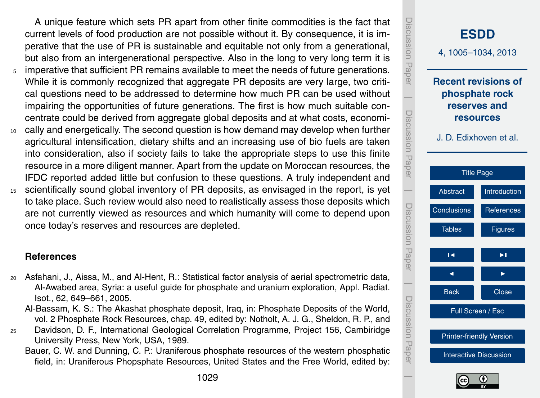<span id="page-24-0"></span>A unique feature which sets PR apart from other finite commodities is the fact that current levels of food production are not possible without it. By consequence, it is imperative that the use of PR is sustainable and equitable not only from a generational, but also from an intergenerational perspective. Also in the long to very long term it is

- <sup>5</sup> imperative that sufficient PR remains available to meet the needs of future generations. While it is commonly recognized that aggregate PR deposits are very large, two critical questions need to be addressed to determine how much PR can be used without impairing the opportunities of future generations. The first is how much suitable concentrate could be derived from aggregate global deposits and at what costs, economi-
- <sup>10</sup> cally and energetically. The second question is how demand may develop when further agricultural intensification, dietary shifts and an increasing use of bio fuels are taken into consideration, also if society fails to take the appropriate steps to use this finite resource in a more diligent manner. Apart from the update on Moroccan resources, the IFDC reported added little but confusion to these questions. A truly independent and
- <sup>15</sup> scientifically sound global inventory of PR deposits, as envisaged in the report, is yet to take place. Such review would also need to realistically assess those deposits which are not currently viewed as resources and which humanity will come to depend upon once today's reserves and resources are depleted.

#### **References**

- <sup>20</sup> Asfahani, J., Aissa, M., and Al-Hent, R.: Statistical factor analysis of aerial spectrometric data, Al-Awabed area, Syria: a useful guide for phosphate and uranium exploration, Appl. Radiat. Isot., 62, 649–661, 2005.
	- Al-Bassam, K. S.: The Akashat phosphate deposit, Iraq, in: Phosphate Deposits of the World, vol. 2 Phosphate Rock Resources, chap. 49, edited by: Notholt, A. J. G., Sheldon, R. P., and
- <sup>25</sup> Davidson, D. F., International Geological Correlation Programme, Project 156, Cambiridge University Press, New York, USA, 1989.
	- Bauer, C. W. and Dunning, C. P.: Uraniferous phosphate resources of the western phosphatic field, in: Uraniferous Phopsphate Resources, United States and the Free World, edited by:



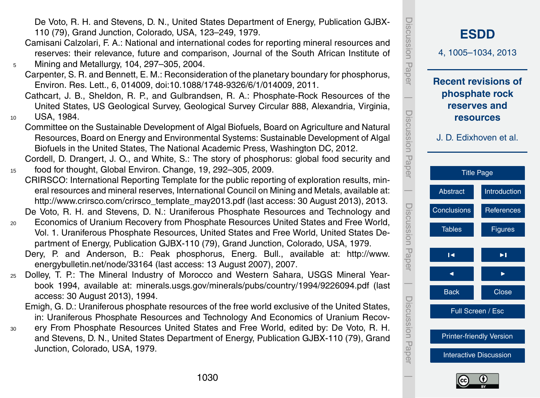De Voto, R. H. and Stevens, D. N., United States Department of Energy, Publication GJBX-110 (79), Grand Junction, Colorado, USA, 123–249, 1979.

- Camisani Calzolari, F. A.: National and international codes for reporting mineral resources and reserves: their relevance, future and comparison, Journal of the South African Institute of <sup>5</sup> Mining and Metallurgy, 104, 297–305, 2004.
	- Carpenter, S. R. and Bennett, E. M.: Reconsideration of the planetary boundary for phosphorus, Environ. Res. Lett., 6, 014009, doi[:10.1088/1748-9326/6/1/014009,](http://dx.doi.org/10.1088/1748-9326/6/1/014009) 2011.
- Cathcart, J. B., Sheldon, R. P., and Gulbrandsen, R. A.: Phosphate-Rock Resources of the United States, US Geological Survey, Geological Survey Circular 888, Alexandria, Virginia, <sup>10</sup> USA, 1984.
- - Committee on the Sustainable Development of Algal Biofuels, Board on Agriculture and Natural Resources, Board on Energy and Environmental Systems: Sustainable Development of Algal Biofuels in the United States, The National Academic Press, Washington DC, 2012.

Cordell, D. Drangert, J. O., and White, S.: The story of phosphorus: global food security and <sup>15</sup> food for thought, Global Environ. Change, 19, 292–305, 2009.

- CRIRSCO: International Reporting Template for the public reporting of exploration results, mineral resources and mineral reserves, International Council on Mining and Metals, available at: [http://www.crirsco.com/crirsco\\_template\\_may2013.pdf](http://www.crirsco.com/crirsco_template_may2013.pdf) (last access: 30 August 2013), 2013. De Voto, R. H. and Stevens, D. N.: Uraniferous Phosphate Resources and Technology and
- <sup>20</sup> Economics of Uranium Recovery from Phosphate Resources United States and Free World, Vol. 1. Uraniferous Phosphate Resources, United States and Free World, United States Department of Energy, Publication GJBX-110 (79), Grand Junction, Colorado, USA, 1979.
	- [D](http://www.energybulletin.net/node/33164)ery, P. and Anderson, B.: Peak phosphorus, Energ. Bull., available at: [http://www.](http://www.energybulletin.net/node/33164) [energybulletin.net/node/33164](http://www.energybulletin.net/node/33164) (last access: 13 August 2007), 2007.
- <sup>25</sup> Dolley, T. P.: The Mineral Industry of Morocco and Western Sahara, USGS Mineral Yearbook 1994, available at: [minerals.usgs.gov/minerals/pubs/country/1994/9226094.pdf](#page-0-0) (last access: 30 August 2013), 1994.
	- Emigh, G. D.: Uraniferous phosphate resources of the free world exclusive of the United States, in: Uraniferous Phosphate Resources and Technology And Economics of Uranium Recov-
- <sup>30</sup> ery From Phosphate Resources United States and Free World, edited by: De Voto, R. H. and Stevens, D. N., United States Department of Energy, Publication GJBX-110 (79), Grand Junction, Colorado, USA, 1979.



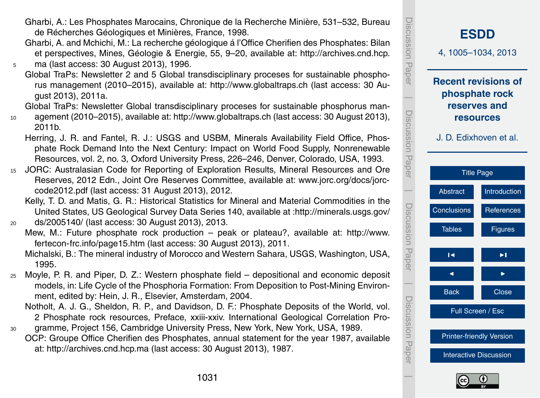Discussion PaperDiscussion Pape  $\overline{\phantom{a}}$ 

Discussion Paper

UDISSIN<sub>2</sub>

Dis

 $\overline{\phantom{a}}$ 

Paper

Discussion Paper

Discussion

 $\overline{\phantom{a}}$ 

Discussion Paper

Discussion Paper

 $\overline{\phantom{a}}$ 

- Gharbi, A.: Les Phosphates Marocains, Chronique de la Recherche Minière, 531–532, Bureau de Récherches Géologiques et Minières, France, 1998.
- Gharbi, A. and Mchichi, M.: La recherche géologique á l'Office Cherifien des Phosphates: Bilan et perspectives, Mines, Géologie & Energie, 55, 9–20, available at: [http://archives.cnd.hcp.](http://archives.cnd.hcp.ma) <sup>5</sup> [ma](http://archives.cnd.hcp.ma) (last access: 30 August 2013), 1996.
	- Global TraPs: Newsletter 2 and 5 Global transdisciplinary proceses for sustainable phosphorus management (2010–2015), available at: <http://www.globaltraps.ch> (last access: 30 August 2013), 2011a.
	- Global TraPs: Newsletter Global transdisciplinary proceses for sustainable phosphorus man-
- <sup>10</sup> agement (2010–2015), available at: <http://www.globaltraps.ch> (last access: 30 August 2013), 2011b.
	- Herring, J. R. and Fantel, R. J.: USGS and USBM, Minerals Availability Field Office, Phosphate Rock Demand Into the Next Century: Impact on World Food Supply, Nonrenewable Resources, vol. 2, no. 3, Oxford University Press, 226–246, Denver, Colorado, USA, 1993.
- <sup>15</sup> JORC: Australasian Code for Reporting of Exploration Results, Mineral Resources and Ore Reserves, 2012 Edn., Joint Ore Reserves Committee, available at: [www.jorc.org/docs/jorc](#page-0-0)[code2012.pdf](#page-0-0) (last access: 31 August 2013), 2012.
- Kelly, T. D. and Matis, G. R.: Historical Statistics for Mineral and Material Commodities in the United States, US Geological Survey Data Series 140, available at [:http://minerals.usgs.gov/](http://minerals.usgs.gov/ds/2005140/) <sup>20</sup> [ds/2005140/](http://minerals.usgs.gov/ds/2005140/) (last access: 30 August 2013), 2013.
	- [M](http://www.fertecon-frc.info/page15.htm)ew, M.: Future phosphate rock production peak or plateau?, available at: [http://www.](http://www.fertecon-frc.info/page15.htm)
		- [fertecon-frc.info/page15.htm](http://www.fertecon-frc.info/page15.htm) (last access: 30 August 2013), 2011.
		- Michalski, B.: The mineral industry of Morocco and Western Sahara, USGS, Washington, USA, 1995.
- <sup>25</sup> Moyle, P. R. and Piper, D. Z.: Western phosphate field depositional and economic deposit models, in: Life Cycle of the Phosphoria Formation: From Deposition to Post-Mining Environment, edited by: Hein, J. R., Elsevier, Amsterdam, 2004.
	- Notholt, A. J. G., Sheldon, R. P., and Davidson, D. F.: Phosphate Deposits of the World, vol. 2 Phosphate rock resources, Preface, xxiii-xxiv. International Geological Correlation Pro-
- <sup>30</sup> gramme, Project 156, Cambridge University Press, New York, New York, USA, 1989. OCP: Groupe Office Cherifien des Phosphates, annual statement for the year 1987, available at: <http://archives.cnd.hcp.ma> (last access: 30 August 2013), 1987.



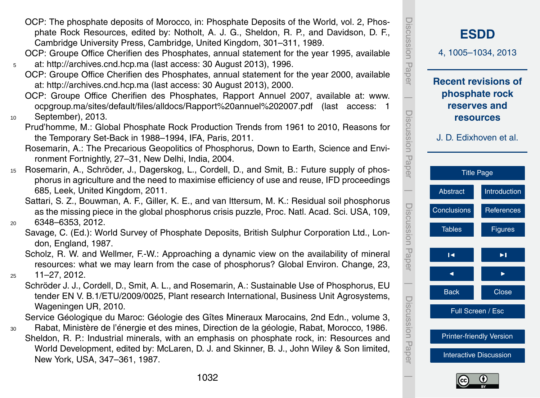- OCP: The phosphate deposits of Morocco, in: Phosphate Deposits of the World, vol. 2, Phosphate Rock Resources, edited by: Notholt, A. J. G., Sheldon, R. P., and Davidson, D. F., Cambridge University Press, Cambridge, United Kingdom, 301–311, 1989.
- OCP: Groupe Office Cherifien des Phosphates, annual statement for the year 1995, available <sup>5</sup> at: <http://archives.cnd.hcp.ma> (last access: 30 August 2013), 1996.
	- OCP: Groupe Office Cherifien des Phosphates, annual statement for the year 2000, available at: <http://archives.cnd.hcp.ma> (last access: 30 August 2013), 2000.
- [O](#page-0-0)CP: Groupe Office Cherifien des Phosphates, Rapport Annuel 2007, available at: [www.](#page-0-0) [ocpgroup.ma/sites/default/files/alldocs/Rapport%20annuel%202007.pdf](#page-0-0) (last access: 1 <sup>10</sup> September), 2013.
- - Prud'homme, M.: Global Phosphate Rock Production Trends from 1961 to 2010, Reasons for the Temporary Set-Back in 1988–1994, IFA, Paris, 2011.

Rosemarin, A.: The Precarious Geopolitics of Phosphorus, Down to Earth, Science and Environment Fortnightly, 27–31, New Delhi, India, 2004.

- <sup>15</sup> Rosemarin, A., Schröder, J., Dagerskog, L., Cordell, D., and Smit, B.: Future supply of phosphorus in agriculture and the need to maximise efficiency of use and reuse, IFD proceedings 685, Leek, United Kingdom, 2011.
- Sattari, S. Z., Bouwman, A. F., Giller, K. E., and van Ittersum, M. K.: Residual soil phosphorus as the missing piece in the global phosphorus crisis puzzle, Proc. Natl. Acad. Sci. USA, 109, <sup>20</sup> 6348–6353, 2012.
	- Savage, C. (Ed.): World Survey of Phosphate Deposits, British Sulphur Corporation Ltd., London, England, 1987.
- Scholz, R. W. and Wellmer, F.-W.: Approaching a dynamic view on the availability of mineral resources: what we may learn from the case of phosphorus? Global Environ. Change, 23, <sup>25</sup> 11–27, 2012.
	- Schröder J. J., Cordell, D., Smit, A. L., and Rosemarin, A.: Sustainable Use of Phosphorus, EU tender EN V. B.1/ETU/2009/0025, Plant research International, Business Unit Agrosystems, Wageningen UR, 2010.

Service Géologique du Maroc: Géologie des Gîtes Mineraux Marocains, 2nd Edn., volume 3,

<sup>30</sup> Rabat, Ministère de l'énergie et des mines, Direction de la géologie, Rabat, Morocco, 1986.

Sheldon, R. P.: Industrial minerals, with an emphasis on phosphate rock, in: Resources and World Development, edited by: McLaren, D. J. and Skinner, B. J., John Wiley & Son limited, New York, USA, 347–361, 1987.



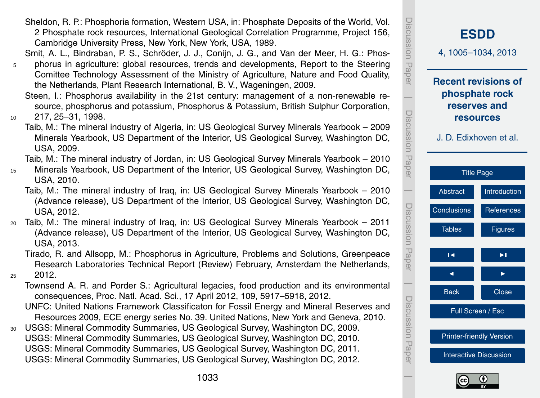Sheldon, R. P.: Phosphoria formation, Western USA, in: Phosphate Deposits of the World, Vol. 2 Phosphate rock resources, International Geological Correlation Programme, Project 156, Cambridge University Press, New York, New York, USA, 1989.

Smit, A. L., Bindraban, P. S., Schröder, J. J., Conijn, J. G., and Van der Meer, H. G.: Phos-

<sup>5</sup> phorus in agriculture: global resources, trends and developments, Report to the Steering Comittee Technology Assessment of the Ministry of Agriculture, Nature and Food Quality, the Netherlands, Plant Research International, B. V., Wageningen, 2009.

Steen, I.: Phosphorus availability in the 21st century: management of a non-renewable resource, phosphorus and potassium, Phosphorus & Potassium, British Sulphur Corporation, <sup>10</sup> 217, 25–31, 1998.

Taib, M.: The mineral industry of Algeria, in: US Geological Survey Minerals Yearbook – 2009 Minerals Yearbook, US Department of the Interior, US Geological Survey, Washington DC, USA, 2009.

Taib, M.: The mineral industry of Jordan, in: US Geological Survey Minerals Yearbook – 2010

- <sup>15</sup> Minerals Yearbook, US Department of the Interior, US Geological Survey, Washington DC, USA, 2010.
	- Taib, M.: The mineral industry of Iraq, in: US Geological Survey Minerals Yearbook 2010 (Advance release), US Department of the Interior, US Geological Survey, Washington DC, USA, 2012.
- <sup>20</sup> Taib, M.: The mineral industry of Iraq, in: US Geological Survey Minerals Yearbook 2011 (Advance release), US Department of the Interior, US Geological Survey, Washington DC, USA, 2013.
- Tirado, R. and Allsopp, M.: Phosphorus in Agriculture, Problems and Solutions, Greenpeace Research Laboratories Technical Report (Review) February, Amsterdam the Netherlands,  $25$  2012.
	- Townsend A. R. and Porder S.: Agricultural legacies, food production and its environmental consequences, Proc. Natl. Acad. Sci., 17 April 2012, 109, 5917–5918, 2012.
	- UNFC: United Nations Framework Classificaton for Fossil Energy and Mineral Reserves and Resources 2009, ECE energy series No. 39. United Nations, New York and Geneva, 2010.
- <sup>30</sup> USGS: Mineral Commodity Summaries, US Geological Survey, Washington DC, 2009. USGS: Mineral Commodity Summaries, US Geological Survey, Washington DC, 2010. USGS: Mineral Commodity Summaries, US Geological Survey, Washington DC, 2011. USGS: Mineral Commodity Summaries, US Geological Survey, Washington DC, 2012.